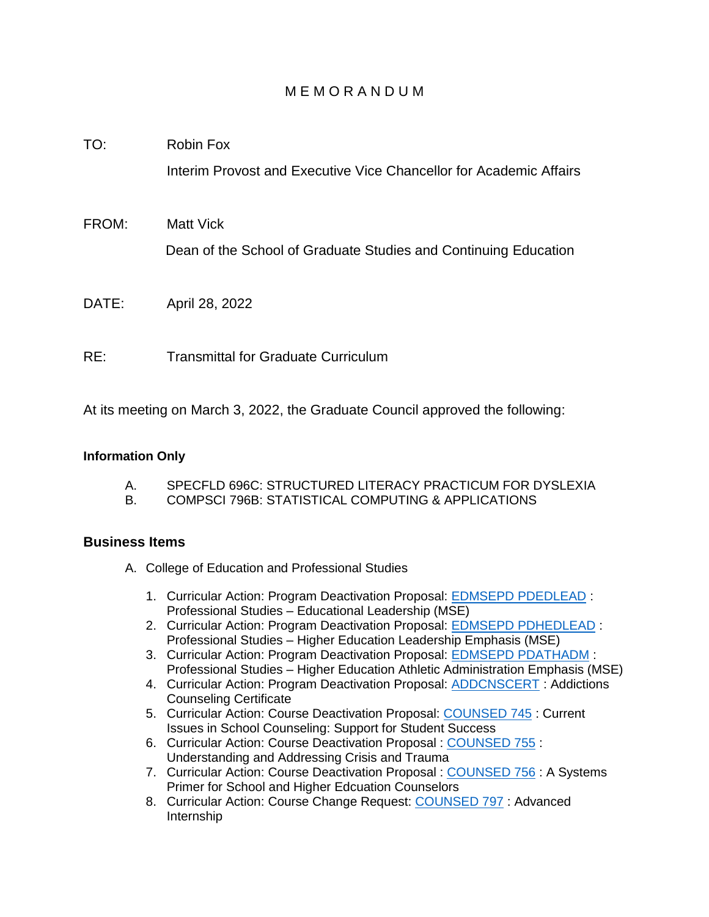## M E M O R A N D U M

- TO: Robin Fox Interim Provost and Executive Vice Chancellor for Academic Affairs
- FROM: Matt Vick Dean of the School of Graduate Studies and Continuing Education
- DATE: April 28, 2022
- RE: Transmittal for Graduate Curriculum

At its meeting on March 3, 2022, the Graduate Council approved the following:

## **Information Only**

- A. SPECFLD 696C: STRUCTURED LITERACY PRACTICUM FOR DYSLEXIA
- B. COMPSCI 796B: STATISTICAL COMPUTING & APPLICATIONS

## **Business Items**

- A. College of Education and Professional Studies
	- 1. Curricular Action: Program Deactivation Proposal: [EDMSEPD PDEDLEAD](https://uww-next.courseleaf.com/courseleaf/courseleaf.cgi?page=/programadmin/539/index.html&step=showfullrecord) : Professional Studies – Educational Leadership (MSE)
	- 2. Curricular Action: Program Deactivation Proposal: [EDMSEPD PDHEDLEAD](https://uww-next.courseleaf.com/courseleaf/courseleaf.cgi?page=/programadmin/558/index.html&step=showfullrecord) : Professional Studies – Higher Education Leadership Emphasis (MSE)
	- 3. Curricular Action: Program Deactivation Proposal: **EDMSEPD PDATHADM**: Professional Studies – Higher Education Athletic Administration Emphasis (MSE)
	- 4. Curricular Action: Program Deactivation Proposal: [ADDCNSCERT](https://uww-next.courseleaf.com/courseleaf/courseleaf.cgi?page=/programadmin/65/index.html&step=showfullrecord) : Addictions Counseling Certificate
	- 5. Curricular Action: Course Deactivation Proposal: [COUNSED 745](https://uww-next.courseleaf.com/courseleaf/courseleaf.cgi?page=/courseadmin/1179/index.html&step=showfullrecord) : Current Issues in School Counseling: Support for Student Success
	- 6. Curricular Action: Course Deactivation Proposal : [COUNSED 755](https://uww-next.courseleaf.com/courseleaf/courseleaf.cgi?page=/courseadmin/4629/index.html&step=showfullrecord) : Understanding and Addressing Crisis and Trauma
	- 7. Curricular Action: Course Deactivation Proposal : [COUNSED 756](https://uww-next.courseleaf.com/courseleaf/courseleaf.cgi?page=/courseadmin/4628/index.html&step=showfullrecord) : A Systems Primer for School and Higher Edcuation Counselors
	- 8. Curricular Action: Course Change Request: [COUNSED 797](https://uww-next.courseleaf.com/courseleaf/courseleaf.cgi?page=/courseadmin/1225/index.html&step=showfullrecord) : Advanced Internship